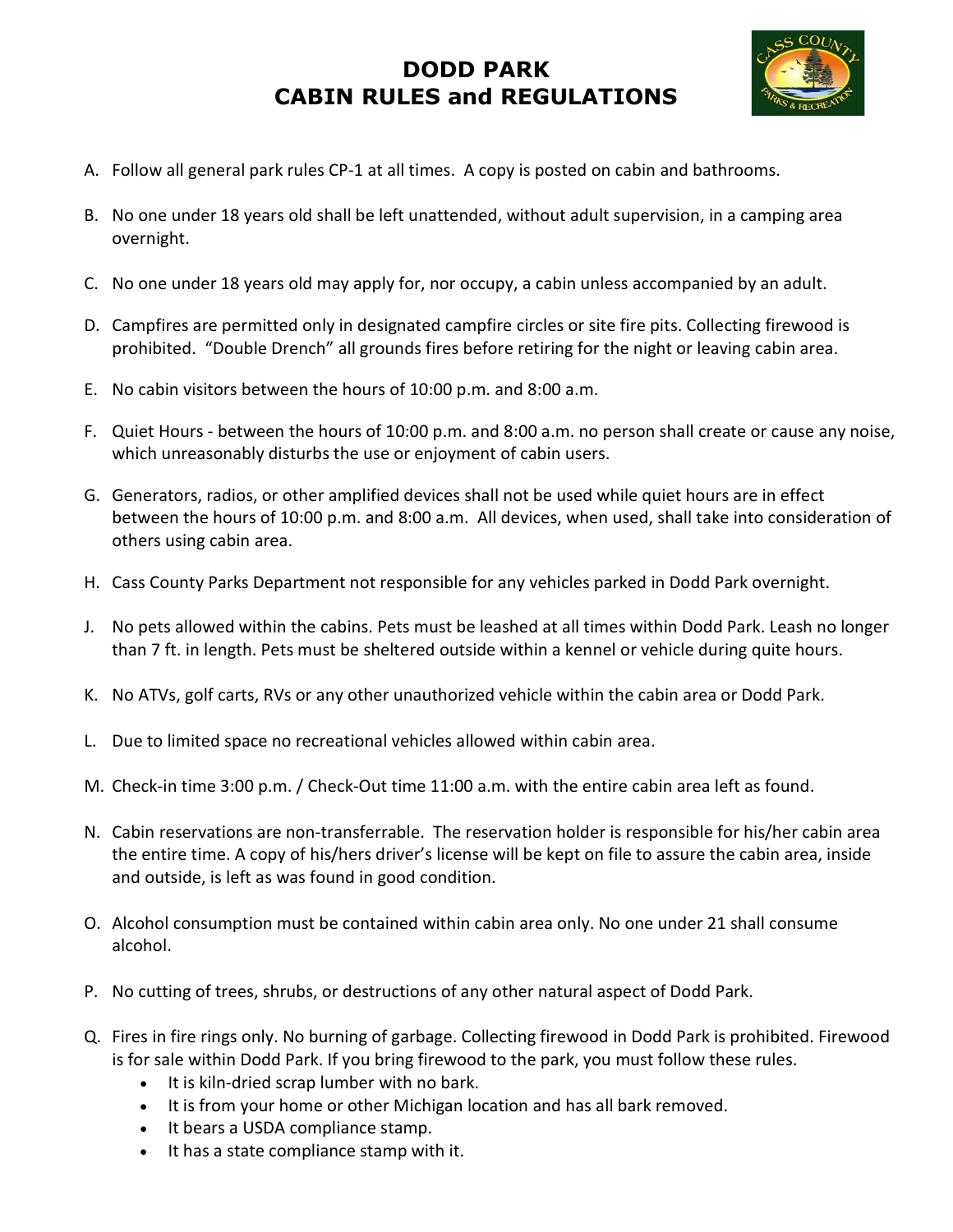

- A. Follow all general park rules CP-1 at all times. A copy is posted on cabin and bathrooms.
- B. No one under 18 years old shall be left unattended, without adult supervision, in a camping area overnight.
- C. No one under 18 years old may apply for, nor occupy, a cabin unless accompanied by an adult.
- D. Campfires are permitted only in designated campfire circles or site fire pits. Collecting firewood is prohibited. "Double Drench" all grounds fires before retiring for the night or leaving cabin area.
- E. No cabin visitors between the hours of 10:00 p.m. and 8:00 a.m.
- F. Quiet Hours between the hours of 10:00 p.m. and 8:00 a.m. no person shall create or cause any noise, which unreasonably disturbs the use or enjoyment of cabin users.
- G. Generators, radios, or other amplified devices shall not be used while quiet hours are in effect between the hours of 10:00 p.m. and 8:00 a.m. All devices, when used, shall take into consideration of others using cabin area.
- H. Cass County Parks Department not responsible for any vehicles parked in Dodd Park overnight.
- J. No pets allowed within the cabins. Pets must be leashed at all times within Dodd Park. Leash no longer than 7 ft. in length. Pets must be sheltered outside within a kennel or vehicle during quite hours.
- K. No ATVs, golf carts, RVs or any other unauthorized vehicle within the cabin area or Dodd Park.
- L. Due to limited space no recreational vehicles allowed within cabin area.
- M. Check-in time 3:00 p.m. / Check-Out time 11:00 a.m. with the entire cabin area left as found.
- N. Cabin reservations are non-transferrable. The reservation holder is responsible for his/her cabin area the entire time. A copy of his/hers driver's license will be kept on file to assure the cabin area, inside and outside, is left as was found in good condition.
- O. Alcohol consumption must be contained within cabin area only. No one under 21 shall consume alcohol.
- P. No cutting of trees, shrubs, or destructions of any other natural aspect of Dodd Park.
- Q. Fires in fire rings only. No burning of garbage. Collecting firewood in Dodd Park is prohibited. Firewood is for sale within Dodd Park. If you bring firewood to the park, you must follow these rules.
	- It is kiln-dried scrap lumber with no bark.
	- It is from your home or other Michigan location and has all bark removed.
	- It bears a USDA compliance stamp.
	- $\bullet$  It has a state compliance stamp with it.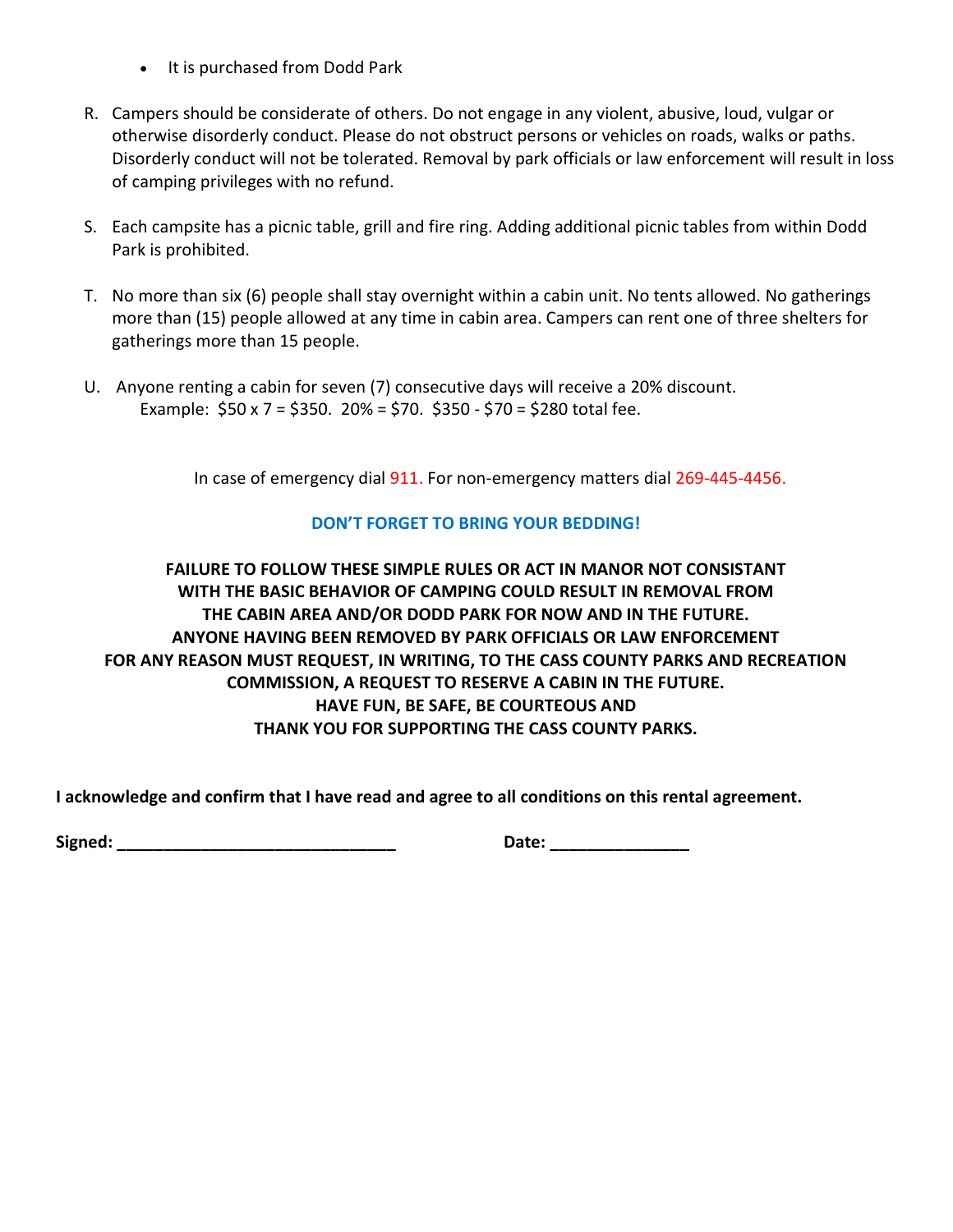- It is purchased from Dodd Park
- R. Campers should be considerate of others. Do not engage in any violent, abusive, loud, vulgar or otherwise disorderly conduct. Please do not obstruct persons or vehicles on roads, walks or paths. Disorderly conduct will not be tolerated. Removal by park officials or law enforcement will result in loss of camping privileges with no refund.
- S. Each campsite has a picnic table, grill and fire ring. Adding additional picnic tables from within Dodd Park is prohibited.
- T. No more than six (6) people shall stay overnight within a cabin unit. No tents allowed. No gatherings more than (15) people allowed at any time in cabin area. Campers can rent one of three shelters for gatherings more than 15 people.
- U. Anyone renting a cabin for seven (7) consecutive days will receive a 20% discount. Example:  $$50 \times 7 = $350$ . 20% = \$70. \$350 - \$70 = \$280 total fee.

In case of emergency dial 911. For non-emergency matters dial 269-445-4456.

## DON'T FORGET TO BRING YOUR BEDDING!

FAILURE TO FOLLOW THESE SIMPLE RULES OR ACT IN MANOR NOT CONSISTANT WITH THE BASIC BEHAVIOR OF CAMPING COULD RESULT IN REMOVAL FROM THE CABIN AREA AND/OR DODD PARK FOR NOW AND IN THE FUTURE. ANYONE HAVING BEEN REMOVED BY PARK OFFICIALS OR LAW ENFORCEMENT FOR ANY REASON MUST REQUEST, IN WRITING, TO THE CASS COUNTY PARKS AND RECREATION COMMISSION, A REQUEST TO RESERVE A CABIN IN THE FUTURE. HAVE FUN, BE SAFE, BE COURTEOUS AND THANK YOU FOR SUPPORTING THE CASS COUNTY PARKS.

I acknowledge and confirm that I have read and agree to all conditions on this rental agreement.

Signed: \_\_\_\_\_\_\_\_\_\_\_\_\_\_\_\_\_\_\_\_\_\_\_\_\_\_\_\_\_\_ Date: \_\_\_\_\_\_\_\_\_\_\_\_\_\_\_